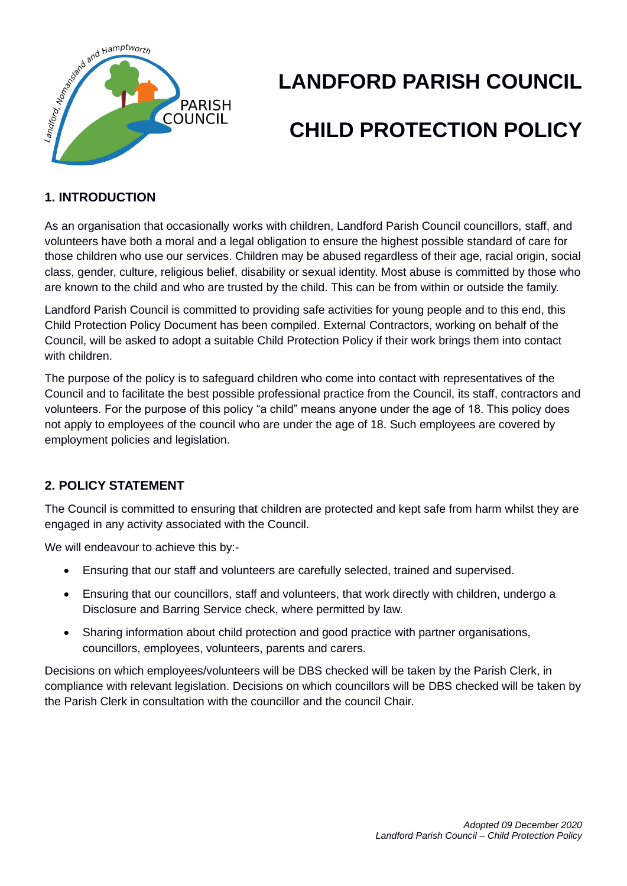

# **LANDFORD PARISH COUNCIL CHILD PROTECTION POLICY**

# **1. INTRODUCTION**

As an organisation that occasionally works with children, Landford Parish Council councillors, staff, and volunteers have both a moral and a legal obligation to ensure the highest possible standard of care for those children who use our services. Children may be abused regardless of their age, racial origin, social class, gender, culture, religious belief, disability or sexual identity. Most abuse is committed by those who are known to the child and who are trusted by the child. This can be from within or outside the family.

Landford Parish Council is committed to providing safe activities for young people and to this end, this Child Protection Policy Document has been compiled. External Contractors, working on behalf of the Council, will be asked to adopt a suitable Child Protection Policy if their work brings them into contact with children.

The purpose of the policy is to safeguard children who come into contact with representatives of the Council and to facilitate the best possible professional practice from the Council, its staff, contractors and volunteers. For the purpose of this policy "a child" means anyone under the age of 18. This policy does not apply to employees of the council who are under the age of 18. Such employees are covered by employment policies and legislation.

# **2. POLICY STATEMENT**

The Council is committed to ensuring that children are protected and kept safe from harm whilst they are engaged in any activity associated with the Council.

We will endeavour to achieve this by:-

- Ensuring that our staff and volunteers are carefully selected, trained and supervised.
- Ensuring that our councillors, staff and volunteers, that work directly with children, undergo a Disclosure and Barring Service check, where permitted by law.
- Sharing information about child protection and good practice with partner organisations, councillors, employees, volunteers, parents and carers.

Decisions on which employees/volunteers will be DBS checked will be taken by the Parish Clerk, in compliance with relevant legislation. Decisions on which councillors will be DBS checked will be taken by the Parish Clerk in consultation with the councillor and the council Chair.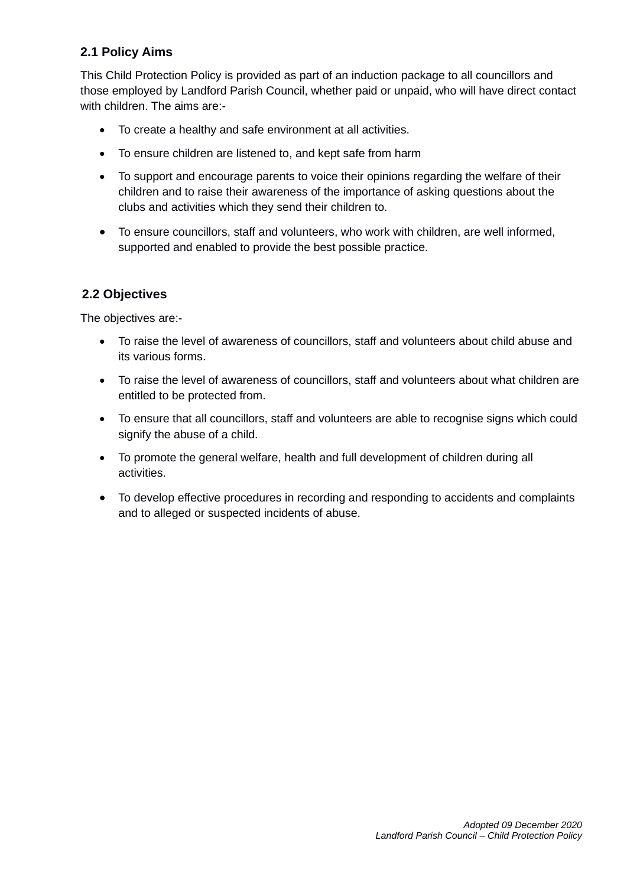# **2.1 Policy Aims**

This Child Protection Policy is provided as part of an induction package to all councillors and those employed by Landford Parish Council, whether paid or unpaid, who will have direct contact with children. The aims are:-

- To create a healthy and safe environment at all activities.
- To ensure children are listened to, and kept safe from harm
- To support and encourage parents to voice their opinions regarding the welfare of their children and to raise their awareness of the importance of asking questions about the clubs and activities which they send their children to.
- To ensure councillors, staff and volunteers, who work with children, are well informed, supported and enabled to provide the best possible practice.

#### **2.2 Objectives**

The objectives are:-

- To raise the level of awareness of councillors, staff and volunteers about child abuse and its various forms.
- To raise the level of awareness of councillors, staff and volunteers about what children are entitled to be protected from.
- To ensure that all councillors, staff and volunteers are able to recognise signs which could signify the abuse of a child.
- To promote the general welfare, health and full development of children during all activities.
- To develop effective procedures in recording and responding to accidents and complaints and to alleged or suspected incidents of abuse.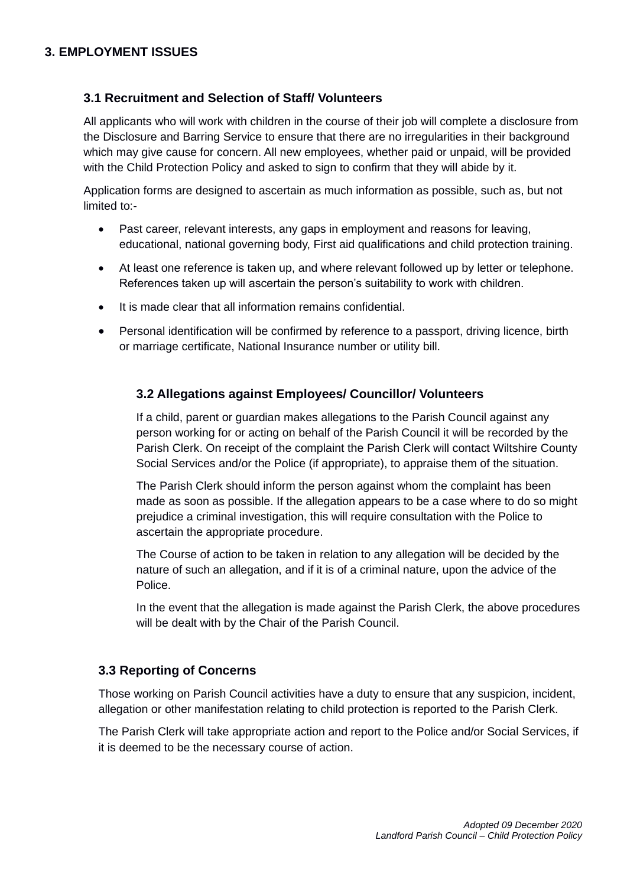#### **3.1 Recruitment and Selection of Staff/ Volunteers**

All applicants who will work with children in the course of their job will complete a disclosure from the Disclosure and Barring Service to ensure that there are no irregularities in their background which may give cause for concern. All new employees, whether paid or unpaid, will be provided with the Child Protection Policy and asked to sign to confirm that they will abide by it.

Application forms are designed to ascertain as much information as possible, such as, but not limited to:-

- Past career, relevant interests, any gaps in employment and reasons for leaving, educational, national governing body, First aid qualifications and child protection training.
- At least one reference is taken up, and where relevant followed up by letter or telephone. References taken up will ascertain the person's suitability to work with children.
- It is made clear that all information remains confidential.
- Personal identification will be confirmed by reference to a passport, driving licence, birth or marriage certificate, National Insurance number or utility bill.

#### **3.2 Allegations against Employees/ Councillor/ Volunteers**

If a child, parent or guardian makes allegations to the Parish Council against any person working for or acting on behalf of the Parish Council it will be recorded by the Parish Clerk. On receipt of the complaint the Parish Clerk will contact Wiltshire County Social Services and/or the Police (if appropriate), to appraise them of the situation.

The Parish Clerk should inform the person against whom the complaint has been made as soon as possible. If the allegation appears to be a case where to do so might prejudice a criminal investigation, this will require consultation with the Police to ascertain the appropriate procedure.

The Course of action to be taken in relation to any allegation will be decided by the nature of such an allegation, and if it is of a criminal nature, upon the advice of the Police.

In the event that the allegation is made against the Parish Clerk, the above procedures will be dealt with by the Chair of the Parish Council.

### **3.3 Reporting of Concerns**

Those working on Parish Council activities have a duty to ensure that any suspicion, incident, allegation or other manifestation relating to child protection is reported to the Parish Clerk.

The Parish Clerk will take appropriate action and report to the Police and/or Social Services, if it is deemed to be the necessary course of action.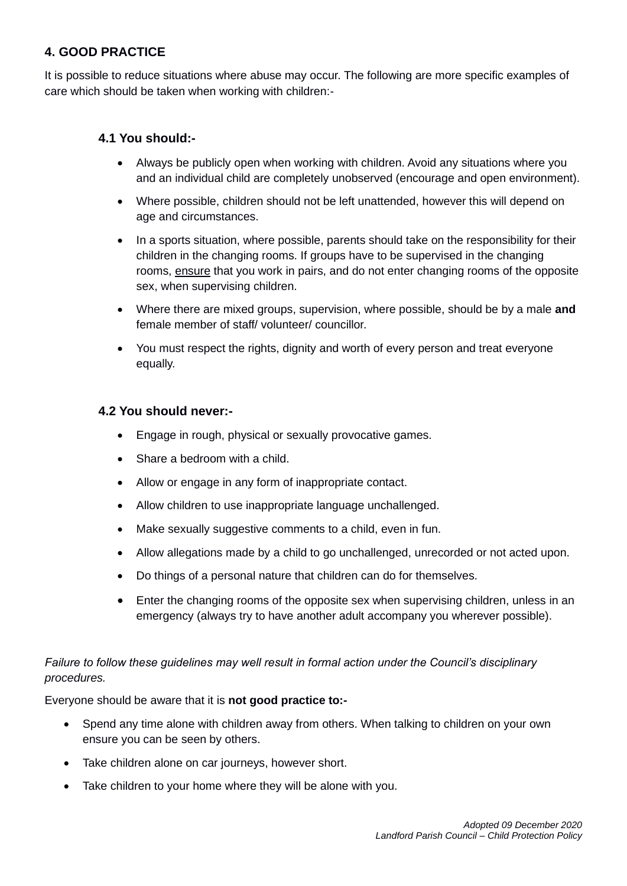# **4. GOOD PRACTICE**

It is possible to reduce situations where abuse may occur. The following are more specific examples of care which should be taken when working with children:-

#### **4.1 You should:-**

- Always be publicly open when working with children. Avoid any situations where you and an individual child are completely unobserved (encourage and open environment).
- Where possible, children should not be left unattended, however this will depend on age and circumstances.
- In a sports situation, where possible, parents should take on the responsibility for their children in the changing rooms. If groups have to be supervised in the changing rooms, ensure that you work in pairs, and do not enter changing rooms of the opposite sex, when supervising children.
- Where there are mixed groups, supervision, where possible, should be by a male **and** female member of staff/ volunteer/ councillor.
- You must respect the rights, dignity and worth of every person and treat everyone equally.

#### **4.2 You should never:-**

- Engage in rough, physical or sexually provocative games.
- Share a bedroom with a child.
- Allow or engage in any form of inappropriate contact.
- Allow children to use inappropriate language unchallenged.
- Make sexually suggestive comments to a child, even in fun.
- Allow allegations made by a child to go unchallenged, unrecorded or not acted upon.
- Do things of a personal nature that children can do for themselves.
- Enter the changing rooms of the opposite sex when supervising children, unless in an emergency (always try to have another adult accompany you wherever possible).

#### *Failure to follow these guidelines may well result in formal action under the Council's disciplinary procedures.*

Everyone should be aware that it is **not good practice to:-**

- Spend any time alone with children away from others. When talking to children on your own ensure you can be seen by others.
- Take children alone on car journeys, however short.
- Take children to your home where they will be alone with you.